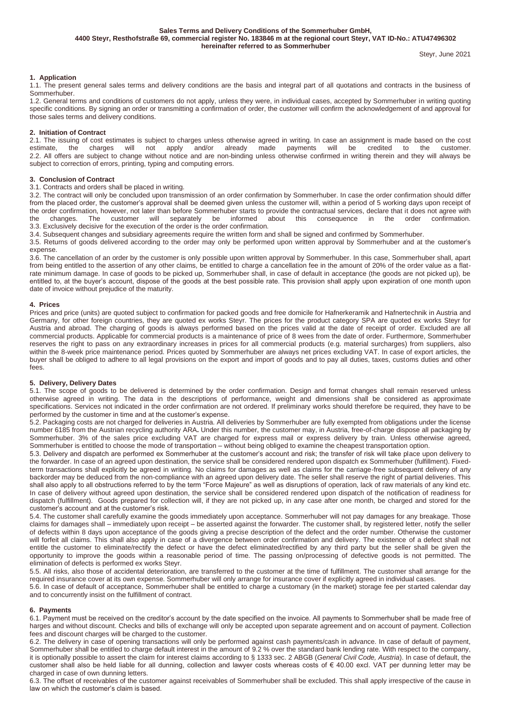**Sales Terms and Delivery Conditions of the Sommerhuber GmbH, 4400 Steyr, Resthofstraße 69, commercial register No. 183846 m at the regional court Steyr, VAT ID-No.: ATU47496302 hereinafter referred to as Sommerhuber**

# **1. Application**

1.1. The present general sales terms and delivery conditions are the basis and integral part of all quotations and contracts in the business of Sommerhuber.

1.2. General terms and conditions of customers do not apply, unless they were, in individual cases, accepted by Sommerhuber in writing quoting specific conditions. By signing an order or transmitting a confirmation of order, the customer will confirm the acknowledgement of and approval for those sales terms and delivery conditions.

#### **2. Initiation of Contract**

2.1. The issuing of cost estimates is subject to charges unless otherwise agreed in writing. In case an assignment is made based on the cost estimate, the charges will not apply and/or already made payments will be credite estimate, the charges will not apply and/or already made payments will be credited to the customer. 2.2. All offers are subject to change without notice and are non-binding unless otherwise confirmed in writing therein and they will always be subject to correction of errors, printing, typing and computing errors.

## **3. Conclusion of Contract**

## 3.1. Contracts and orders shall be placed in writing.

3.2. The contract will only be concluded upon transmission of an order confirmation by Sommerhuber. In case the order confirmation should differ from the placed order, the customer's approval shall be deemed given unless the customer will, within a period of 5 working days upon receipt of the order confirmation, however, not later than before Sommerhuber starts to provide the contractual services, declare that it does not agree with the changes. The customer will separately be informed about this consequenc the changes. The customer will separately be informed about this consequence in the order confirmation. 3.3. Exclusively decisive for the execution of the order is the order confirmation.

3.4. Subsequent changes and subsidiary agreements require the written form and shall be signed and confirmed by Sommerhuber.

3.5. Returns of goods delivered according to the order may only be performed upon written approval by Sommerhuber and at the customer's expense.

3.6. The cancellation of an order by the customer is only possible upon written approval by Sommerhuber. In this case, Sommerhuber shall, apart from being entitled to the assertion of any other claims, be entitled to charge a cancellation fee in the amount of 20% of the order value as a flatrate minimum damage. In case of goods to be picked up, Sommerhuber shall, in case of default in acceptance (the goods are not picked up), be entitled to, at the buyer's account, dispose of the goods at the best possible rate. This provision shall apply upon expiration of one month upon date of invoice without prejudice of the maturity.

#### **4. Prices**

Prices and price (units) are quoted subject to confirmation for packed goods and free domicile for Hafnerkeramik and Hafnertechnik in Austria and Germany, for other foreign countries, they are quoted ex works Steyr. The prices for the product category SPA are quoted ex works Steyr for Austria and abroad. The charging of goods is always performed based on the prices valid at the date of receipt of order. Excluded are all commercial products. Applicable for commercial products is a maintenance of price of 8 wees from the date of order. Furthermore, Sommerhuber reserves the right to pass on any extraordinary increases in prices for all commercial products (e.g. material surcharges) from suppliers, also within the 8-week price maintenance period. Prices quoted by Sommerhuber are always net prices excluding VAT. In case of export articles, the buyer shall be obliged to adhere to all legal provisions on the export and import of goods and to pay all duties, taxes, customs duties and other fees.

# **5. Delivery, Delivery Dates**

5.1. The scope of goods to be delivered is determined by the order confirmation. Design and format changes shall remain reserved unless otherwise agreed in writing. The data in the descriptions of performance, weight and dimensions shall be considered as approximate specifications. Services not indicated in the order confirmation are not ordered. If preliminary works should therefore be required, they have to be performed by the customer in time and at the customer's expense.

5.2. Packaging costs are not charged for deliveries in Austria. All deliveries by Sommerhuber are fully exempted from obligations under the license number 6185 from the Austrian recycling authority ARA**.** Under this number, the customer may, in Austria, free-of-charge dispose all packaging by Sommerhuber. 3% of the sales price excluding VAT are charged for express mail or express delivery by train. Unless otherwise agreed, Sommerhuber is entitled to choose the mode of transportation – without being obliged to examine the cheapest transportation option.

5.3. Delivery and dispatch are performed ex Sommerhuber at the customer's account and risk; the transfer of risk will take place upon delivery to the forwarder. In case of an agreed upon destination, the service shall be considered rendered upon dispatch ex Sommerhuber (fulfillment). Fixedterm transactions shall explicitly be agreed in writing. No claims for damages as well as claims for the carriage-free subsequent delivery of any backorder may be deduced from the non-compliance with an agreed upon delivery date. The seller shall reserve the right of partial deliveries. This shall also apply to all obstructions referred to by the term "Force Majeure" as well as disruptions of operation, lack of raw materials of any kind etc. In case of delivery without agreed upon destination, the service shall be considered rendered upon dispatch of the notification of readiness for dispatch (fulfillment). Goods prepared for collection will, if they are not picked up, in any case after one month, be charged and stored for the customer's account and at the customer's risk.

5.4. The customer shall carefully examine the goods immediately upon acceptance. Sommerhuber will not pay damages for any breakage. Those claims for damages shall – immediately upon receipt – be asserted against the forwarder. The customer shall, by registered letter, notify the seller of defects within 8 days upon acceptance of the goods giving a precise description of the defect and the order number. Otherwise the customer will forfeit all claims. This shall also apply in case of a divergence between order confirmation and delivery. The existence of a defect shall not entitle the customer to eliminate/rectify the defect or have the defect eliminated/rectified by any third party but the seller shall be given the opportunity to improve the goods within a reasonable period of time. The passing on/processing of defective goods is not permitted. The elimination of defects is performed ex works Steyr.

5.5. All risks, also those of accidental deterioration, are transferred to the customer at the time of fulfillment. The customer shall arrange for the required insurance cover at its own expense. Sommerhuber will only arrange for insurance cover if explicitly agreed in individual cases.

5.6. In case of default of acceptance, Sommerhuber shall be entitled to charge a customary (in the market) storage fee per started calendar day and to concurrently insist on the fulfillment of contract.

#### **6. Payments**

6.1. Payment must be received on the creditor's account by the date specified on the invoice. All payments to Sommerhuber shall be made free of harges and without discount. Checks and bills of exchange will only be accepted upon separate agreement and on account of payment. Collection fees and discount charges will be charged to the customer.

6.2. The delivery in case of opening transactions will only be performed against cash payments/cash in advance. In case of default of payment, Sommerhuber shall be entitled to charge default interest in the amount of 9.2 % over the standard bank lending rate. With respect to the company, it is optionally possible to assert the claim for interest claims according to § 1333 sec. 2 ABGB (*General Civil Code, Austria*). In case of default, the customer shall also be held liable for all dunning, collection and lawyer costs whereas costs of € 40.00 excl. VAT per dunning letter may be charged in case of own dunning letters.

6.3. The offset of receivables of the customer against receivables of Sommerhuber shall be excluded. This shall apply irrespective of the cause in law on which the customer's claim is based.